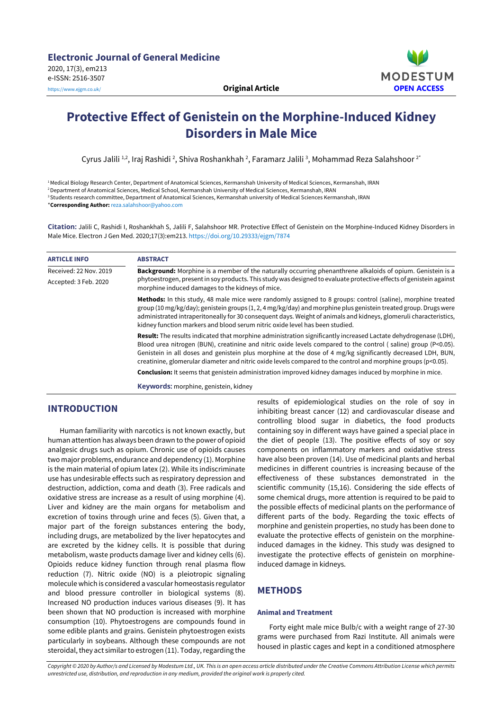

# **Protective Effect of Genistein on the Morphine-Induced Kidney Disorders in Male Mice**

Cyrus Jalili <sup>1,2</sup>, Iraj Rashidi <sup>2</sup>, Shiva Roshankhah <sup>2</sup>, Faramarz Jalili <sup>3</sup>, Mohammad Reza Salahshoor <sup>2</sup>'

<sup>1</sup>Medical Biology Research Center, Department of Anatomical Sciences, Kermanshah University of Medical Sciences, Kermanshah, IRAN <sup>2</sup>Department of Anatomical Sciences, Medical School, Kermanshah University of Medical Sciences, Kermanshah, IRAN <sup>3</sup> Students research committee, Department of Anatomical Sciences, Kermanshah university of Medical Sciences Kermanshah, IRAN \***Corresponding Author:** [reza.salahshoor@yahoo.com](mailto:reza.salahshoor@yahoo.com)

**Citation:** Jalili C, Rashidi I, Roshankhah S, Jalili F, Salahshoor MR. Protective Effect of Genistein on the Morphine-Induced Kidney Disorders in Male Mice. Electron J Gen Med. 2020;17(3):em213. <https://doi.org/10.29333/ejgm/7874>

| <b>ARTICLE INFO</b>    | <b>ABSTRACT</b>                                                                                                                                                                                                                                                                                                                                                                                                                                                   |
|------------------------|-------------------------------------------------------------------------------------------------------------------------------------------------------------------------------------------------------------------------------------------------------------------------------------------------------------------------------------------------------------------------------------------------------------------------------------------------------------------|
| Received: 22 Nov. 2019 | <b>Background:</b> Morphine is a member of the naturally occurring phenanthrene alkaloids of opium. Genistein is a                                                                                                                                                                                                                                                                                                                                                |
| Accepted: 3 Feb. 2020  | phytoestrogen, present in soy products. This study was designed to evaluate protective effects of genistein against<br>morphine induced damages to the kidneys of mice.                                                                                                                                                                                                                                                                                           |
|                        | Methods: In this study, 48 male mice were randomly assigned to 8 groups: control (saline), morphine treated<br>group (10 mg/kg/day); genistein groups (1, 2, 4 mg/kg/day) and morphine plus genistein treated group. Drugs were<br>administrated intraperitoneally for 30 consequent days. Weight of animals and kidneys, glomeruli characteristics,<br>kidney function markers and blood serum nitric oxide level has been studied.                              |
|                        | Result: The results indicated that morphine administration significantly increased Lactate dehydrogenase (LDH),<br>Blood urea nitrogen (BUN), creatinine and nitric oxide levels compared to the control (saline) group (P<0.05).<br>Genistein in all doses and genistein plus morphine at the dose of 4 mg/kg significantly decreased LDH, BUN,<br>creatinine, glomerular diameter and nitric oxide levels compared to the control and morphine groups (p<0.05). |
|                        | <b>Conclusion:</b> It seems that genistein administration improved kidney damages induced by morphine in mice.                                                                                                                                                                                                                                                                                                                                                    |
|                        | Keywords: morphine, genistein, kidney                                                                                                                                                                                                                                                                                                                                                                                                                             |

# **INTRODUCTION**

Human familiarity with narcotics is not known exactly, but human attention has always been drawn to the power of opioid analgesic drugs such as opium. Chronic use of opioids causes two major problems, endurance and dependency (1). Morphine is the main material of opium latex (2). While its indiscriminate use has undesirable effects such as respiratory depression and destruction, addiction, coma and death (3). Free radicals and oxidative stress are increase as a result of using morphine (4). Liver and kidney are the main organs for metabolism and excretion of toxins through urine and feces (5). Given that, a major part of the foreign substances entering the body, including drugs, are metabolized by the liver hepatocytes and are excreted by the kidney cells. It is possible that during metabolism, waste products damage liver and kidney cells (6). Opioids reduce kidney function through renal plasma flow reduction (7). Nitric oxide (NO) is a pleiotropic signaling molecule which is considered a vascular homeostasis regulator and blood pressure controller in biological systems (8). Increased NO production induces various diseases (9). It has been shown that NO production is increased with morphine consumption (10). Phytoestrogens are compounds found in some edible plants and grains. Genistein phytoestrogen exists particularly in soybeans. Although these compounds are not steroidal, they act similar to estrogen (11). Today, regarding the

results of epidemiological studies on the role of soy in inhibiting breast cancer (12) and cardiovascular disease and controlling blood sugar in diabetics, the food products containing soy in different ways have gained a special place in the diet of people (13). The positive effects of soy or soy components on inflammatory markers and oxidative stress have also been proven (14). Use of medicinal plants and herbal medicines in different countries is increasing because of the effectiveness of these substances demonstrated in the scientific community (15,16). Considering the side effects of some chemical drugs, more attention is required to be paid to the possible effects of medicinal plants on the performance of different parts of the body. Regarding the toxic effects of morphine and genistein properties, no study has been done to evaluate the protective effects of genistein on the morphineinduced damages in the kidney. This study was designed to investigate the protective effects of genistein on morphineinduced damage in kidneys.

# **METHODS**

### **Animal and Treatment**

Forty eight male mice Bulb/c with a weight range of 27-30 grams were purchased from Razi Institute. All animals were housed in plastic cages and kept in a conditioned atmosphere

Copyright © 2020 by Author/s and Licensed by Modestum Ltd., UK. This is an open access article distributed under the Creative Commons Attribution License which permits *unrestricted use, distribution, and reproduction in any medium, provided the original work is properly cited.*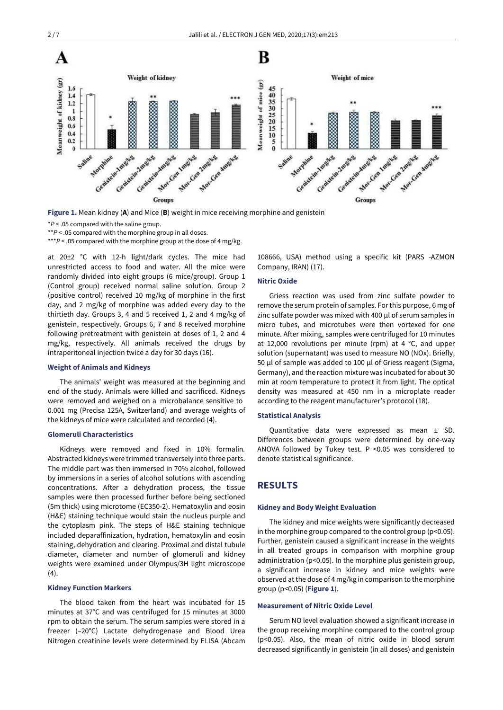

**Figure 1.** Mean kidney (**A**) and Mice (**B**) weight in mice receiving morphine and genistein

\*\**P* < .05 compared with the morphine group in all doses.

\*\*\**P* < .05 compared with the morphine group at the dose of 4 mg/kg.

at 20±2 °C with 12-h light/dark cycles. The mice had unrestricted access to food and water. All the mice were randomly divided into eight groups (6 mice/group). Group 1 (Control group) received normal saline solution. Group 2 (positive control) received 10 mg/kg of morphine in the first day, and 2 mg/kg of morphine was added every day to the thirtieth day. Groups 3, 4 and 5 received 1, 2 and 4 mg/kg of genistein, respectively. Groups 6, 7 and 8 received morphine following pretreatment with genistein at doses of 1, 2 and 4 mg/kg, respectively. All animals received the drugs by intraperitoneal injection twice a day for 30 days (16).

### **Weight of Animals and Kidneys**

The animals' weight was measured at the beginning and end of the study. Animals were killed and sacrificed. Kidneys were removed and weighed on a microbalance sensitive to 0.001 mg (Precisa 125A, Switzerland) and average weights of the kidneys of mice were calculated and recorded (4).

#### **Glomeruli Characteristics**

Kidneys were removed and fixed in 10% formalin*.* Abstracted kidneys were trimmed transversely into three parts. The middle part was then immersed in 70% alcohol, followed by immersions in a series of alcohol solutions with ascending concentrations. After a dehydration process, the tissue samples were then processed further before being sectioned (5m thick) using microtome (EC350-2). Hematoxylin and eosin (H&E) staining technique would stain the nucleus purple and the cytoplasm pink. The steps of H&E staining technique included deparaffinization, hydration, hematoxylin and eosin staining, dehydration and clearing. Proximal and distal tubule diameter, diameter and number of glomeruli and kidney weights were examined under Olympus/3H light microscope (4).

### **Kidney Function Markers**

The blood taken from the heart was incubated for 15 minutes at 37°C and was centrifuged for 15 minutes at 3000 rpm to obtain the serum. The serum samples were stored in a freezer (–20°C) Lactate dehydrogenase and Blood Urea Nitrogen creatinine levels were determined by ELISA (Abcam

108666, USA) method using a specific kit (PARS -AZMON Company, IRAN) (17).

### **Nitric Oxide**

Griess reaction was used from zinc sulfate powder to remove the serum protein of samples. For this purpose, 6 mg of zinc sulfate powder was mixed with 400 μl of serum samples in micro tubes, and microtubes were then vortexed for one minute. After mixing, samples were centrifuged for 10 minutes at 12,000 revolutions per minute (rpm) at 4 °C, and upper solution (supernatant) was used to measure NO (NOx). Briefly, 50 μl of sample was added to 100 μl of Griess reagent (Sigma, Germany), and the reaction mixture was incubated for about 30 min at room temperature to protect it from light. The optical density was measured at 450 nm in a microplate reader according to the reagent manufacturer's protocol (18).

#### **Statistical Analysis**

Quantitative data were expressed as mean ± SD. Differences between groups were determined by one-way ANOVA followed by Tukey test. P <0.05 was considered to denote statistical significance.

# **RESULTS**

#### **Kidney and Body Weight Evaluation**

The kidney and mice weights were significantly decreased in the morphine group compared to the control group (p<0.05). Further, genistein caused a significant increase in the weights in all treated groups in comparison with morphine group administration (p<0.05). In the morphine plus genistein group, a significant increase in kidney and mice weights were observed at the dose of 4 mg/kg in comparison to the morphine group (p<0.05) (**Figure 1**).

### **Measurement of Nitric Oxide Level**

Serum NO level evaluation showed a significant increase in the group receiving morphine compared to the control group (p<0.05). Also, the mean of nitric oxide in blood serum decreased significantly in genistein (in all doses) and genistein

<sup>\*</sup>*P* < .05 compared with the saline group.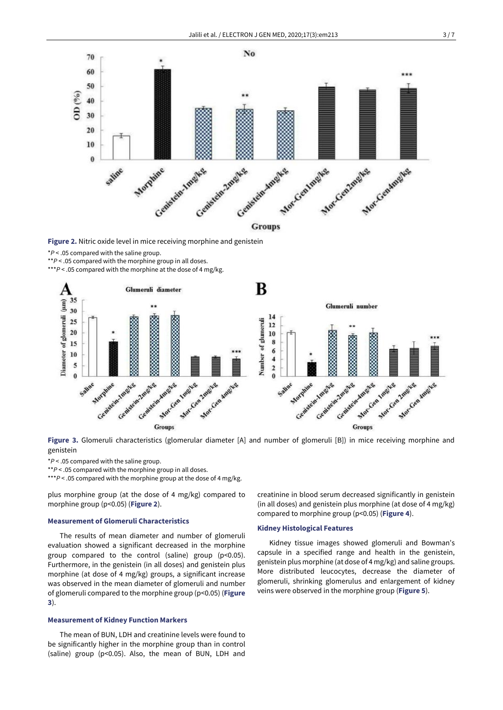

**Figure 2.** Nitric oxide level in mice receiving morphine and genistein

\**P* < .05 compared with the saline group.

\*\**P* < .05 compared with the morphine group in all doses.

\*\*\**P* < .05 compared with the morphine at the dose of 4 mg/kg.



**Figure 3.** Glomeruli characteristics (glomerular diameter [A] and number of glomeruli [B]) in mice receiving morphine and genistein

\**P* < .05 compared with the saline group.

\*\**P* < .05 compared with the morphine group in all doses.

\*\*\**P* < .05 compared with the morphine group at the dose of 4 mg/kg.

plus morphine group (at the dose of 4 mg/kg) compared to morphine group (p<0.05) (**Figure 2**).

### **Measurement of Glomeruli Characteristics**

The results of mean diameter and number of glomeruli evaluation showed a significant decreased in the morphine group compared to the control (saline) group (p<0.05). Furthermore, in the genistein (in all doses) and genistein plus morphine (at dose of 4 mg/kg) groups, a significant increase was observed in the mean diameter of glomeruli and number of glomeruli compared to the morphine group (p<0.05) (**Figure 3**).

### **Measurement of Kidney Function Markers**

The mean of BUN, LDH and creatinine levels were found to be significantly higher in the morphine group than in control (saline) group (p<0.05). Also, the mean of BUN, LDH and creatinine in blood serum decreased significantly in genistein (in all doses) and genistein plus morphine (at dose of 4 mg/kg) compared to morphine group (p<0.05) (**Figure 4**).

#### **Kidney Histological Features**

Kidney tissue images showed glomeruli and Bowman's capsule in a specified range and health in the genistein, genistein plus morphine (at dose of 4 mg/kg) and saline groups. More distributed leucocytes, decrease the diameter of glomeruli, shrinking glomerulus and enlargement of kidney veins were observed in the morphine group (**Figure 5**).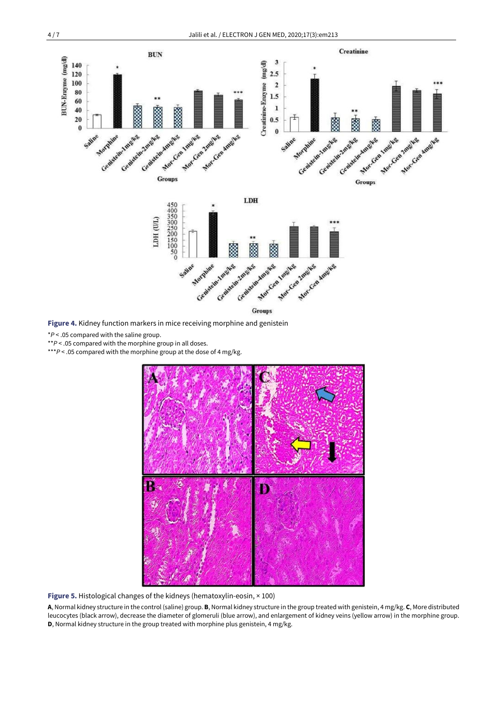

\**P* < .05 compared with the saline group.

\*\**P* < .05 compared with the morphine group in all doses.

\*\*\**P* < .05 compared with the morphine group at the dose of 4 mg/kg.



**Figure 5.** Histological changes of the kidneys (hematoxylin-eosin, × 100)

**A**, Normal kidney structure in the control (saline) group. **B**, Normal kidney structure in the group treated with genistein, 4 mg/kg. **C**, More distributed leucocytes (black arrow), decrease the diameter of glomeruli (blue arrow), and enlargement of kidney veins (yellow arrow) in the morphine group. **D**, Normal kidney structure in the group treated with morphine plus genistein, 4 mg/kg.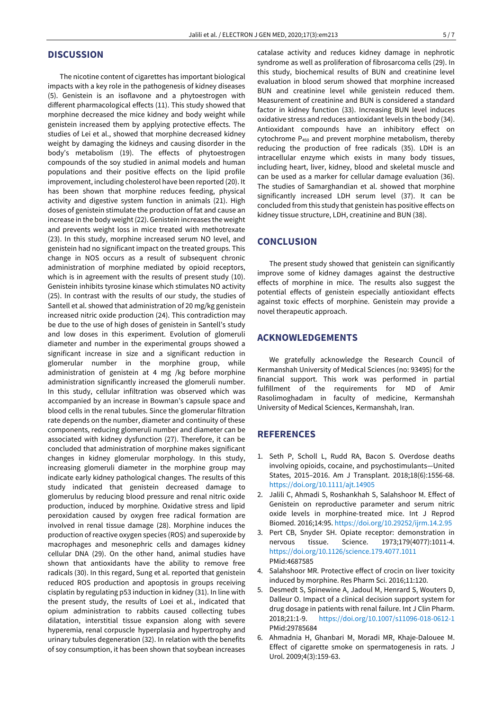# **DISCUSSION**

The nicotine content of cigarettes has important biological impacts with a key role in the pathogenesis of kidney diseases (5). Genistein is an isoflavone and a phytoestrogen with different pharmacological effects (11). This study showed that morphine decreased the mice kidney and body weight while genistein increased them by applying protective effects. The studies of Lei et al., showed that morphine decreased kidney weight by damaging the kidneys and causing disorder in the body's metabolism (19). The effects of phytoestrogen compounds of the soy studied in animal models and human populations and their positive effects on the lipid profile improvement, including cholesterol have been reported (20). It has been shown that morphine reduces feeding, physical activity and digestive system function in animals (21). High doses of genistein stimulate the production of fat and cause an increase in the body weight (22). Genistein increases the weight and prevents weight loss in mice treated with methotrexate (23). In this study, morphine increased serum NO level, and genistein had no significant impact on the treated groups. This change in NOS occurs as a result of subsequent chronic administration of morphine mediated by opioid receptors, which is in agreement with the results of present study (10). Genistein inhibits tyrosine kinase which stimulates NO activity (25). In contrast with the results of our study, the studies of Santell et al. showed that administration of 20 mg/kg genistein increased nitric oxide production (24). This contradiction may be due to the use of high doses of genistein in Santell's study and low doses in this experiment. Evolution of glomeruli diameter and number in the experimental groups showed a significant increase in size and a significant reduction in glomerular number in the morphine group, while administration of genistein at 4 mg /kg before morphine administration significantly increased the glomeruli number. In this study, cellular infiltration was observed which was accompanied by an increase in Bowman's capsule space and blood cells in the renal tubules. Since the glomerular filtration rate depends on the number, diameter and continuity of these components, reducing glomeruli number and diameter can be associated with kidney dysfunction (27). Therefore, it can be concluded that administration of morphine makes significant changes in kidney glomerular morphology. In this study, increasing glomeruli diameter in the morphine group may indicate early kidney pathological changes. The results of this study indicated that genistein decreased damage to glomerulus by reducing blood pressure and renal nitric oxide production, induced by morphine. Oxidative stress and lipid peroxidation caused by oxygen free radical formation are involved in renal tissue damage (28). Morphine induces the production of reactive oxygen species (ROS) and superoxide by macrophages and mesonephric cells and damages kidney cellular DNA (29). On the other hand, animal studies have shown that antioxidants have the ability to remove free radicals (30). In this regard, Sung et al. reported that genistein reduced ROS production and apoptosis in groups receiving cisplatin by regulating p53 induction in kidney (31). In line with the present study, the results of Loei et al., indicated that opium administration to rabbits caused collecting tubes dilatation, interstitial tissue expansion along with severe hyperemia, renal corpuscle hyperplasia and hypertrophy and urinary tubules degeneration (32). In relation with the benefits of soy consumption, it has been shown that soybean increases

catalase activity and reduces kidney damage in nephrotic syndrome as well as proliferation of fibrosarcoma cells (29). In this study, biochemical results of BUN and creatinine level evaluation in blood serum showed that morphine increased BUN and creatinine level while genistein reduced them. Measurement of creatinine and BUN is considered a standard factor in kidney function (33). Increasing BUN level induces oxidative stress and reduces antioxidant levels in the body (34). Antioxidant compounds have an inhibitory effect on cytochrome P<sup>450</sup> and prevent morphine metabolism, thereby reducing the production of free radicals (35). LDH is an intracellular enzyme which exists in many body tissues, including heart, liver, kidney, blood and skeletal muscle and can be used as a marker for cellular damage evaluation (36). The studies of Samarghandian et al. showed that morphine significantly increased LDH serum level (37). It can be concluded from this study that genistein has positive effects on kidney tissue structure, LDH, creatinine and BUN (38).

# **CONCLUSION**

The present study showed that genistein can significantly improve some of kidney damages against the destructive effects of morphine in mice. The results also suggest the potential effects of genistein especially antioxidant effects against toxic effects of morphine. Genistein may provide a novel therapeutic approach.

# **ACKNOWLEDGEMENTS**

We gratefully acknowledge the Research Council of Kermanshah University of Medical Sciences (no: 93495) for the financial support. This work was performed in partial fulfillment of the requirements for MD of Amir Rasolimoghadam in faculty of medicine, Kermanshah University of Medical Sciences, Kermanshah, Iran.

# **REFERENCES**

- 1. Seth P, Scholl L, Rudd RA, Bacon S. Overdose deaths involving opioids, cocaine, and psychostimulants—United States, 2015–2016. Am J Transplant. 2018;18(6):1556-68. <https://doi.org/10.1111/ajt.14905>
- 2. Jalili C, Ahmadi S, Roshankhah S, Salahshoor M. Effect of Genistein on reproductive parameter and serum nitric oxide levels in morphine-treated mice. Int J Reprod Biomed. 2016;14:95. <https://doi.org/10.29252/ijrm.14.2.95>
- 3. Pert CB, Snyder SH. Opiate receptor: demonstration in nervous tissue. Science. 1973;179(4077):1011-4. <https://doi.org/10.1126/science.179.4077.1011> PMid:4687585
- 4. Salahshoor MR. Protective effect of crocin on liver toxicity induced by morphine. Res Pharm Sci. 2016;11:120.
- 5. Desmedt S, Spinewine A, Jadoul M, Henrard S, Wouters D, Dalleur O. Impact of a clinical decision support system for drug dosage in patients with renal failure. Int J Clin Pharm. 2018;21:1-9. <https://doi.org/10.1007/s11096-018-0612-1> PMid:29785684
- 6. Ahmadnia H, Ghanbari M, Moradi MR, Khaje-Dalouee M. Effect of cigarette smoke on spermatogenesis in rats. J Urol. 2009;4(3):159-63.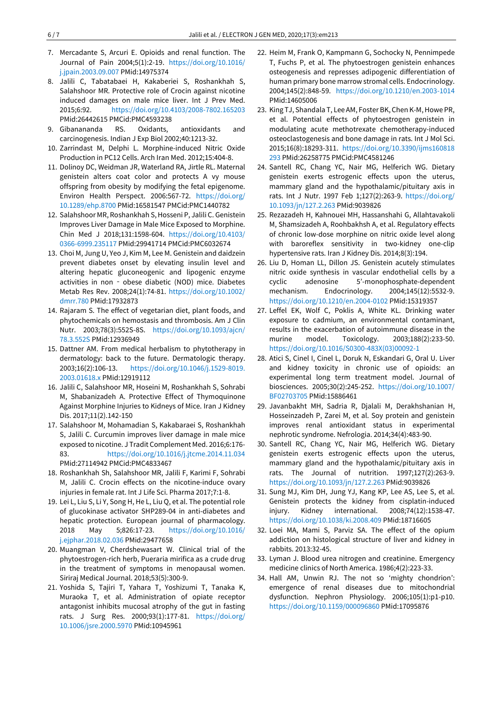- 7. Mercadante S, Arcuri E. Opioids and renal function. The Journal of Pain 2004;5(1):2-19. [https://doi.org/10.1016/](https://doi.org/10.1016/j.jpain.2003.09.007) [j.jpain.2003.09.007](https://doi.org/10.1016/j.jpain.2003.09.007) PMid:14975374
- 8. Jalili C, Tabatabaei H, Kakaberiei S, Roshankhah S, Salahshoor MR. Protective role of Crocin against nicotine induced damages on male mice liver. Int J Prev Med. 2015;6:92. <https://doi.org/10.4103/2008-7802.165203> PMid:26442615 PMCid:PMC4593238
- 9. Gibanananda RS. Oxidants, antioxidants and carcinogenesis. Indian J Exp Biol 2002;40:1213-32.
- 10. Zarrindast M, Delphi L. Morphine-induced Nitric Oxide Production in PC12 Cells. Arch Iran Med. 2012;15:404-8.
- 11. Dolinoy DC, Weidman JR, Waterland RA, Jirtle RL. Maternal genistein alters coat color and protects A vy mouse offspring from obesity by modifying the fetal epigenome. Environ Health Perspect. 2006:567-72. [https://doi.org/](https://doi.org/10.1289/ehp.8700) [10.1289/ehp.8700](https://doi.org/10.1289/ehp.8700) PMid:16581547 PMCid:PMC1440782
- 12. Salahshoor MR, Roshankhah S, Hosseni P, Jalili C. Genistein Improves Liver Damage in Male Mice Exposed to Morphine. Chin Med J 2018;131:1598-604. [https://doi.org/10.4103/](https://doi.org/10.4103/0366-6999.235117) [0366-6999.235117](https://doi.org/10.4103/0366-6999.235117) PMid:29941714 PMCid:PMC6032674
- 13. Choi M, Jung U, Yeo J, Kim M, Lee M. Genistein and daidzein prevent diabetes onset by elevating insulin level and altering hepatic gluconeogenic and lipogenic enzyme activities in non - obese diabetic (NOD) mice. Diabetes Metab Res Rev. 2008;24(1):74-81. [https://doi.org/10.1002/](https://doi.org/10.1002/dmrr.780) [dmrr.780](https://doi.org/10.1002/dmrr.780) PMid:17932873
- 14. Rajaram S. The effect of vegetarian diet, plant foods, and phytochemicals on hemostasis and thrombosis. Am J Clin Nutr. 2003;78(3):552S-8S. [https://doi.org/10.1093/ajcn/](https://doi.org/10.1093/ajcn/78.3.552S) [78.3.552S](https://doi.org/10.1093/ajcn/78.3.552S) PMid:12936949
- 15. Dattner AM. From medical herbalism to phytotherapy in dermatology: back to the future. Dermatologic therapy. 2003;16(2):106-13. [https://doi.org/10.1046/j.1529-8019.](https://doi.org/10.1046/j.1529-8019.2003.01618.x) [2003.01618.x](https://doi.org/10.1046/j.1529-8019.2003.01618.x) PMid:12919112
- 16. Jalili C, Salahshoor MR, Hoseini M, Roshankhah S, Sohrabi M, Shabanizadeh A. Protective Effect of Thymoquinone Against Morphine Injuries to Kidneys of Mice. Iran J Kidney Dis. 2017;11(2).142-150
- 17. Salahshoor M, Mohamadian S, Kakabaraei S, Roshankhah S, Jalili C. Curcumin improves liver damage in male mice exposed to nicotine. J Tradit Complement Med. 2016;6:176- 83. <https://doi.org/10.1016/j.jtcme.2014.11.034> PMid:27114942 PMCid:PMC4833467
- 18. Roshankhah Sh, Salahshoor MR, Jalili F, Karimi F, Sohrabi M, Jalili C. Crocin effects on the nicotine-induce ovary injuries in female rat. Int J Life Sci. Pharma 2017;7:1-8.
- 19. Lei L, Liu S, Li Y, Song H, He L, Liu Q, et al. The potential role of glucokinase activator SHP289-04 in anti-diabetes and hepatic protection. European journal of pharmacology. 2018 May 5;826:17-23. [https://doi.org/10.1016/](https://doi.org/10.1016/j.ejphar.2018.02.036) [j.ejphar.2018.02.036](https://doi.org/10.1016/j.ejphar.2018.02.036) PMid:29477658
- 20. Muangman V, Cherdshewasart W. Clinical trial of the phytoestrogen-rich herb, Pueraria mirifica as a crude drug in the treatment of symptoms in menopausal women. Siriraj Medical Journal. 2018;53(5):300-9.
- 21. Yoshida S, Tajiri T, Yahara T, Yoshizumi T, Tanaka K, Muraoka T, et al. Administration of opiate receptor antagonist inhibits mucosal atrophy of the gut in fasting rats. J Surg Res. 2000;93(1):177-81. [https://doi.org/](https://doi.org/10.1006/jsre.2000.5970) [10.1006/jsre.2000.5970](https://doi.org/10.1006/jsre.2000.5970) PMid:10945961
- 22. Heim M, Frank O, Kampmann G, Sochocky N, Pennimpede T, Fuchs P, et al. The phytoestrogen genistein enhances osteogenesis and represses adipogenic differentiation of human primary bone marrow stromal cells. Endocrinology. 2004;145(2):848-59. <https://doi.org/10.1210/en.2003-1014> PMid:14605006
- 23. King TJ, Shandala T, Lee AM, Foster BK, Chen K-M, Howe PR, et al. Potential effects of phytoestrogen genistein in modulating acute methotrexate chemotherapy-induced osteoclastogenesis and bone damage in rats. Int J Mol Sci. 2015;16(8):18293-311. [https://doi.org/10.3390/ijms160818](https://doi.org/10.3390/ijms160818293) [293](https://doi.org/10.3390/ijms160818293) PMid:26258775 PMCid:PMC4581246
- 24. Santell RC, Chang YC, Nair MG, Helferich WG. Dietary genistein exerts estrogenic effects upon the uterus, mammary gland and the hypothalamic/pituitary axis in rats. Int J Nutr. 1997 Feb 1;127(2):263-9. [https://doi.org/](https://doi.org/10.1093/jn/127.2.263) [10.1093/jn/127.2.263](https://doi.org/10.1093/jn/127.2.263) PMid:9039826
- 25. Rezazadeh H, Kahnouei MH, Hassanshahi G, Allahtavakoli M, Shamsizadeh A, Roohbakhsh A, et al. Regulatory effects of chronic low-dose morphine on nitric oxide level along with baroreflex sensitivity in two-kidney one-clip hypertensive rats. Iran J Kidney Dis. 2014;8(3):194.
- 26. Liu D, Homan LL, Dillon JS. Genistein acutely stimulates nitric oxide synthesis in vascular endothelial cells by a cyclic adenosine 5'-monophosphate-dependent mechanism. Endocrinology. 2004;145(12):5532-9. <https://doi.org/10.1210/en.2004-0102> PMid:15319357
- 27. Leffel EK, Wolf C, Poklis A, White KL. Drinking water exposure to cadmium, an environmental contaminant, results in the exacerbation of autoimmune disease in the murine model. Toxicology. 2003;188(2):233-50. [https://doi.org/10.1016/S0300-483X\(03\)00092-1](https://doi.org/10.1016/S0300-483X(03)00092-1)
- 28. Atici S, Cinel I, Cinel L, Doruk N, Eskandari G, Oral U. Liver and kidney toxicity in chronic use of opioids: an experimental long term treatment model. Journal of biosciences. 2005;30(2):245-252. [https://doi.org/10.1007/](https://doi.org/10.1007/BF02703705) [BF02703705](https://doi.org/10.1007/BF02703705) PMid:15886461
- 29. Javanbakht MH, Sadria R, Djalali M, Derakhshanian H, Hosseinzadeh P, Zarei M, et al. Soy protein and genistein improves renal antioxidant status in experimental nephrotic syndrome. Nefrologia. 2014;34(4):483-90.
- 30. Santell RC, Chang YC, Nair MG, Helferich WG. Dietary genistein exerts estrogenic effects upon the uterus, mammary gland and the hypothalamic/pituitary axis in rats. The Journal of nutrition. 1997;127(2):263-9. <https://doi.org/10.1093/jn/127.2.263> PMid:9039826
- 31. Sung MJ, Kim DH, Jung YJ, Kang KP, Lee AS, Lee S, et al. Genistein protects the kidney from cisplatin-induced injury. Kidney international. 2008;74(12):1538-47. <https://doi.org/10.1038/ki.2008.409> PMid:18716605
- 32. Loei MA, Mami S, Parviz SA. The effect of the opium addiction on histological structure of liver and kidney in rabbits. 2013:32-45.
- 33. Lyman J. Blood urea nitrogen and creatinine. Emergency medicine clinics of North America. 1986;4(2):223-33.
- 34. Hall AM, Unwin RJ. The not so 'mighty chondrion': emergence of renal diseases due to mitochondrial dysfunction. Nephron Physiology. 2006;105(1):p1-p10. <https://doi.org/10.1159/000096860> PMid:17095876